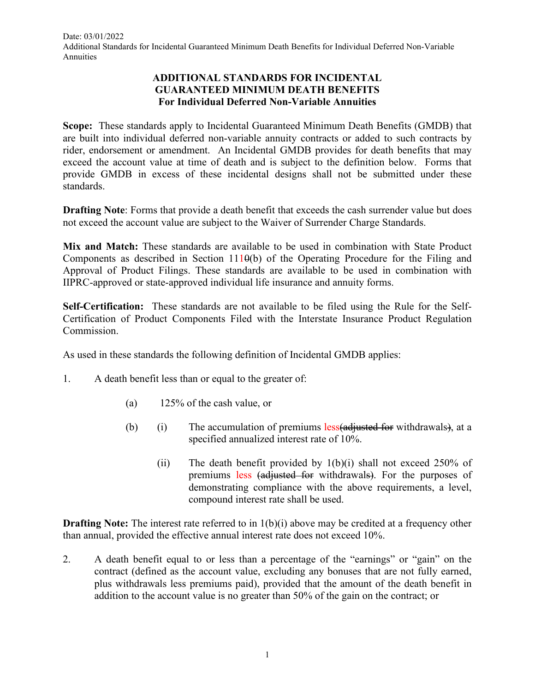## **ADDITIONAL STANDARDS FOR INCIDENTAL GUARANTEED MINIMUM DEATH BENEFITS For Individual Deferred Non-Variable Annuities**

**Scope:** These standards apply to Incidental Guaranteed Minimum Death Benefits (GMDB) that are built into individual deferred non-variable annuity contracts or added to such contracts by rider, endorsement or amendment. An Incidental GMDB provides for death benefits that may exceed the account value at time of death and is subject to the definition below. Forms that provide GMDB in excess of these incidental designs shall not be submitted under these standards.

**Drafting Note**: Forms that provide a death benefit that exceeds the cash surrender value but does not exceed the account value are subject to the Waiver of Surrender Charge Standards.

**Mix and Match:** These standards are available to be used in combination with State Product Components as described in Section  $1110(b)$  of the Operating Procedure for the Filing and Approval of Product Filings. These standards are available to be used in combination with IIPRC-approved or state-approved individual life insurance and annuity forms.

**Self-Certification:** These standards are not available to be filed using the Rule for the Self-Certification of Product Components Filed with the Interstate Insurance Product Regulation Commission.

As used in these standards the following definition of Incidental GMDB applies:

- 1. A death benefit less than or equal to the greater of:
	- (a) 125% of the cash value, or
	- (b) (i) The accumulation of premiums  $less(additional)$  for withdrawals), at a specified annualized interest rate of 10%.
		- (ii) The death benefit provided by  $1(b)(i)$  shall not exceed 250% of premiums less (adjusted for withdrawals). For the purposes of demonstrating compliance with the above requirements, a level, compound interest rate shall be used.

**Drafting Note:** The interest rate referred to in 1(b)(i) above may be credited at a frequency other than annual, provided the effective annual interest rate does not exceed 10%.

2. A death benefit equal to or less than a percentage of the "earnings" or "gain" on the contract (defined as the account value, excluding any bonuses that are not fully earned, plus withdrawals less premiums paid), provided that the amount of the death benefit in addition to the account value is no greater than 50% of the gain on the contract; or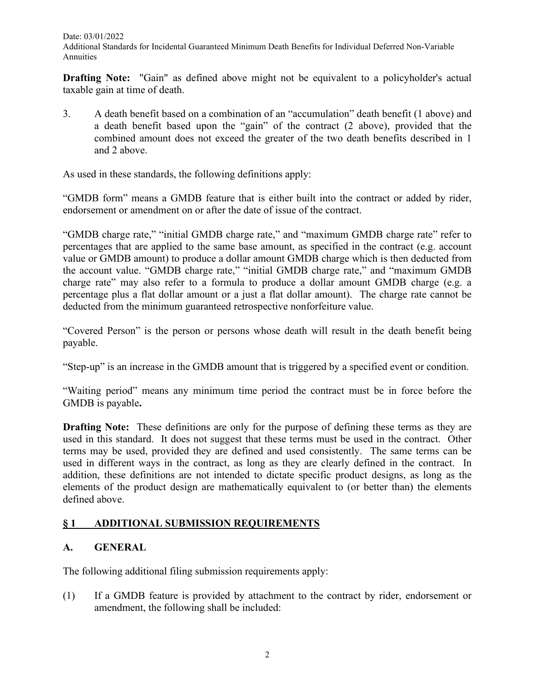**Drafting Note:** "Gain" as defined above might not be equivalent to a policyholder's actual taxable gain at time of death.

3. A death benefit based on a combination of an "accumulation" death benefit (1 above) and a death benefit based upon the "gain" of the contract (2 above), provided that the combined amount does not exceed the greater of the two death benefits described in 1 and 2 above.

As used in these standards, the following definitions apply:

"GMDB form" means a GMDB feature that is either built into the contract or added by rider, endorsement or amendment on or after the date of issue of the contract.

"GMDB charge rate," "initial GMDB charge rate," and "maximum GMDB charge rate" refer to percentages that are applied to the same base amount, as specified in the contract (e.g. account value or GMDB amount) to produce a dollar amount GMDB charge which is then deducted from the account value. "GMDB charge rate," "initial GMDB charge rate," and "maximum GMDB charge rate" may also refer to a formula to produce a dollar amount GMDB charge (e.g. a percentage plus a flat dollar amount or a just a flat dollar amount). The charge rate cannot be deducted from the minimum guaranteed retrospective nonforfeiture value.

"Covered Person" is the person or persons whose death will result in the death benefit being payable.

"Step-up" is an increase in the GMDB amount that is triggered by a specified event or condition.

"Waiting period" means any minimum time period the contract must be in force before the GMDB is payable**.**

**Drafting Note:** These definitions are only for the purpose of defining these terms as they are used in this standard. It does not suggest that these terms must be used in the contract. Other terms may be used, provided they are defined and used consistently. The same terms can be used in different ways in the contract, as long as they are clearly defined in the contract. In addition, these definitions are not intended to dictate specific product designs, as long as the elements of the product design are mathematically equivalent to (or better than) the elements defined above.

# **§ 1 ADDITIONAL SUBMISSION REQUIREMENTS**

## **A. GENERAL**

The following additional filing submission requirements apply:

(1) If a GMDB feature is provided by attachment to the contract by rider, endorsement or amendment, the following shall be included: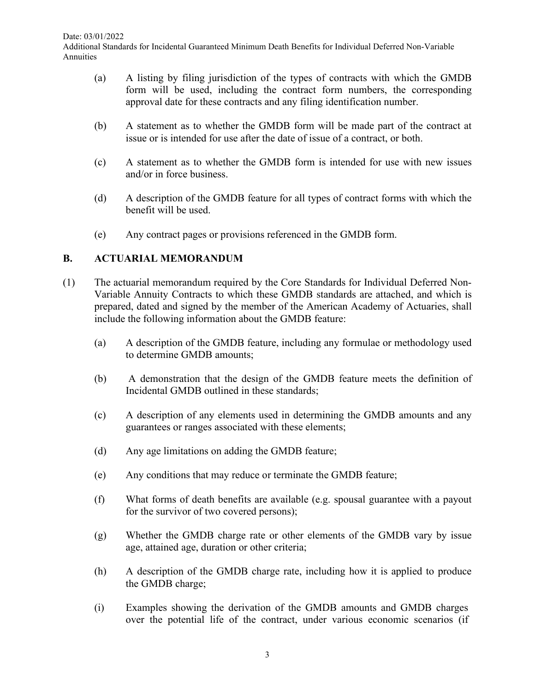- (a) A listing by filing jurisdiction of the types of contracts with which the GMDB form will be used, including the contract form numbers, the corresponding approval date for these contracts and any filing identification number.
- (b) A statement as to whether the GMDB form will be made part of the contract at issue or is intended for use after the date of issue of a contract, or both.
- (c) A statement as to whether the GMDB form is intended for use with new issues and/or in force business.
- (d) A description of the GMDB feature for all types of contract forms with which the benefit will be used.
- (e) Any contract pages or provisions referenced in the GMDB form.

#### **B. ACTUARIAL MEMORANDUM**

- (1) The actuarial memorandum required by the Core Standards for Individual Deferred Non-Variable Annuity Contracts to which these GMDB standards are attached, and which is prepared, dated and signed by the member of the American Academy of Actuaries, shall include the following information about the GMDB feature:
	- (a) A description of the GMDB feature, including any formulae or methodology used to determine GMDB amounts;
	- (b) A demonstration that the design of the GMDB feature meets the definition of Incidental GMDB outlined in these standards;
	- (c) A description of any elements used in determining the GMDB amounts and any guarantees or ranges associated with these elements;
	- (d) Any age limitations on adding the GMDB feature;
	- (e) Any conditions that may reduce or terminate the GMDB feature;
	- (f) What forms of death benefits are available (e.g. spousal guarantee with a payout for the survivor of two covered persons);
	- (g) Whether the GMDB charge rate or other elements of the GMDB vary by issue age, attained age, duration or other criteria;
	- (h) A description of the GMDB charge rate, including how it is applied to produce the GMDB charge;
	- (i) Examples showing the derivation of the GMDB amounts and GMDB charges over the potential life of the contract, under various economic scenarios (if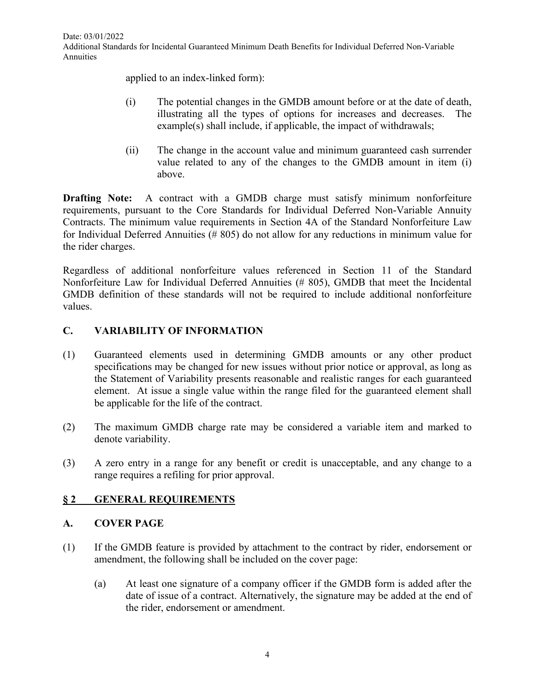applied to an index-linked form):

- (i) The potential changes in the GMDB amount before or at the date of death, illustrating all the types of options for increases and decreases. The example(s) shall include, if applicable, the impact of withdrawals;
- (ii) The change in the account value and minimum guaranteed cash surrender value related to any of the changes to the GMDB amount in item (i) above.

**Drafting Note:** A contract with a GMDB charge must satisfy minimum nonforfeiture requirements, pursuant to the Core Standards for Individual Deferred Non-Variable Annuity Contracts. The minimum value requirements in Section 4A of the Standard Nonforfeiture Law for Individual Deferred Annuities (# 805) do not allow for any reductions in minimum value for the rider charges.

Regardless of additional nonforfeiture values referenced in Section 11 of the Standard Nonforfeiture Law for Individual Deferred Annuities (# 805), GMDB that meet the Incidental GMDB definition of these standards will not be required to include additional nonforfeiture values.

## **C. VARIABILITY OF INFORMATION**

- (1) Guaranteed elements used in determining GMDB amounts or any other product specifications may be changed for new issues without prior notice or approval, as long as the Statement of Variability presents reasonable and realistic ranges for each guaranteed element. At issue a single value within the range filed for the guaranteed element shall be applicable for the life of the contract.
- (2) The maximum GMDB charge rate may be considered a variable item and marked to denote variability.
- (3) A zero entry in a range for any benefit or credit is unacceptable, and any change to a range requires a refiling for prior approval.

## **§ 2 GENERAL REQUIREMENTS**

## **A. COVER PAGE**

- (1) If the GMDB feature is provided by attachment to the contract by rider, endorsement or amendment, the following shall be included on the cover page:
	- (a) At least one signature of a company officer if the GMDB form is added after the date of issue of a contract. Alternatively, the signature may be added at the end of the rider, endorsement or amendment.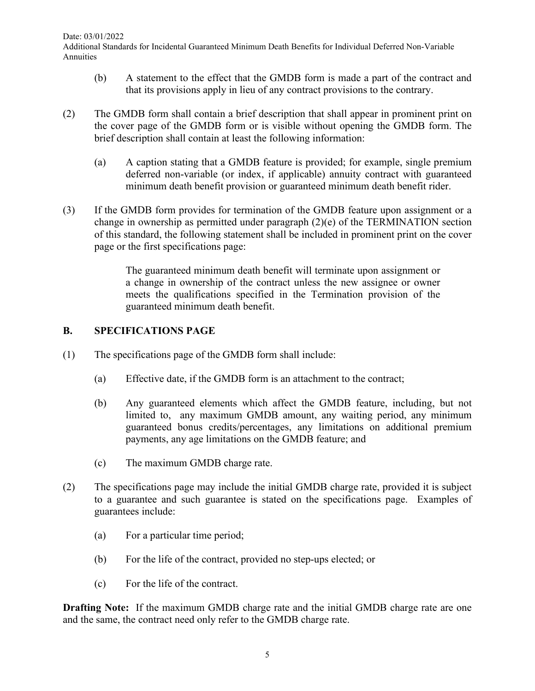Date: 03/01/2022

Additional Standards for Incidental Guaranteed Minimum Death Benefits for Individual Deferred Non-Variable Annuities

- (b) A statement to the effect that the GMDB form is made a part of the contract and that its provisions apply in lieu of any contract provisions to the contrary.
- (2) The GMDB form shall contain a brief description that shall appear in prominent print on the cover page of the GMDB form or is visible without opening the GMDB form. The brief description shall contain at least the following information:
	- (a) A caption stating that a GMDB feature is provided; for example, single premium deferred non-variable (or index, if applicable) annuity contract with guaranteed minimum death benefit provision or guaranteed minimum death benefit rider.
- (3) If the GMDB form provides for termination of the GMDB feature upon assignment or a change in ownership as permitted under paragraph (2)(e) of the TERMINATION section of this standard, the following statement shall be included in prominent print on the cover page or the first specifications page:

The guaranteed minimum death benefit will terminate upon assignment or a change in ownership of the contract unless the new assignee or owner meets the qualifications specified in the Termination provision of the guaranteed minimum death benefit.

## **B. SPECIFICATIONS PAGE**

- (1) The specifications page of the GMDB form shall include:
	- (a) Effective date, if the GMDB form is an attachment to the contract;
	- (b) Any guaranteed elements which affect the GMDB feature, including, but not limited to, any maximum GMDB amount, any waiting period, any minimum guaranteed bonus credits/percentages, any limitations on additional premium payments, any age limitations on the GMDB feature; and
	- (c) The maximum GMDB charge rate.
- (2) The specifications page may include the initial GMDB charge rate, provided it is subject to a guarantee and such guarantee is stated on the specifications page. Examples of guarantees include:
	- (a) For a particular time period;
	- (b) For the life of the contract, provided no step-ups elected; or
	- (c) For the life of the contract.

**Drafting Note:** If the maximum GMDB charge rate and the initial GMDB charge rate are one and the same, the contract need only refer to the GMDB charge rate.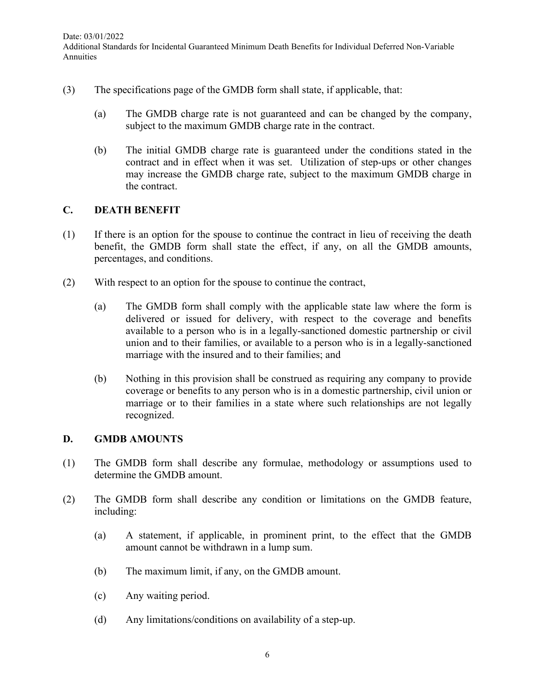- (3) The specifications page of the GMDB form shall state, if applicable, that:
	- (a) The GMDB charge rate is not guaranteed and can be changed by the company, subject to the maximum GMDB charge rate in the contract.
	- (b) The initial GMDB charge rate is guaranteed under the conditions stated in the contract and in effect when it was set. Utilization of step-ups or other changes may increase the GMDB charge rate, subject to the maximum GMDB charge in the contract.

## **C. DEATH BENEFIT**

- (1) If there is an option for the spouse to continue the contract in lieu of receiving the death benefit, the GMDB form shall state the effect, if any, on all the GMDB amounts, percentages, and conditions.
- (2) With respect to an option for the spouse to continue the contract,
	- (a) The GMDB form shall comply with the applicable state law where the form is delivered or issued for delivery, with respect to the coverage and benefits available to a person who is in a legally-sanctioned domestic partnership or civil union and to their families, or available to a person who is in a legally-sanctioned marriage with the insured and to their families; and
	- (b) Nothing in this provision shall be construed as requiring any company to provide coverage or benefits to any person who is in a domestic partnership, civil union or marriage or to their families in a state where such relationships are not legally recognized.

## **D. GMDB AMOUNTS**

- (1) The GMDB form shall describe any formulae, methodology or assumptions used to determine the GMDB amount.
- (2) The GMDB form shall describe any condition or limitations on the GMDB feature, including:
	- (a) A statement, if applicable, in prominent print, to the effect that the GMDB amount cannot be withdrawn in a lump sum.
	- (b) The maximum limit, if any, on the GMDB amount.
	- (c) Any waiting period.
	- (d) Any limitations/conditions on availability of a step-up.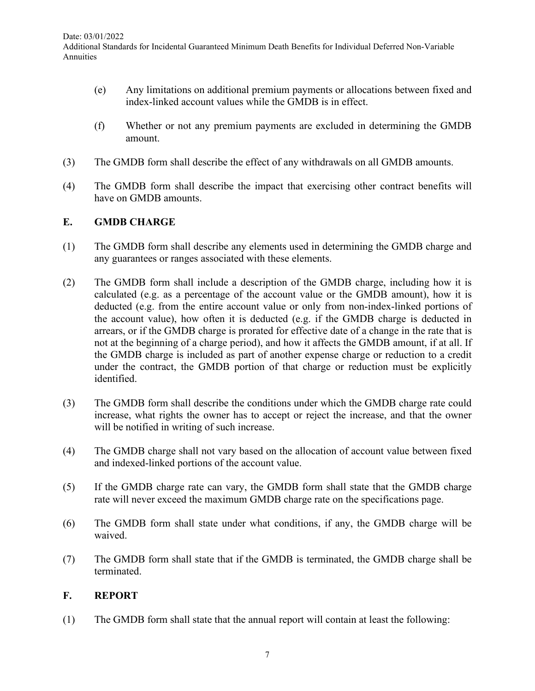- (e) Any limitations on additional premium payments or allocations between fixed and index-linked account values while the GMDB is in effect.
- (f) Whether or not any premium payments are excluded in determining the GMDB amount.
- (3) The GMDB form shall describe the effect of any withdrawals on all GMDB amounts.
- (4) The GMDB form shall describe the impact that exercising other contract benefits will have on GMDB amounts.

#### **E. GMDB CHARGE**

- (1) The GMDB form shall describe any elements used in determining the GMDB charge and any guarantees or ranges associated with these elements.
- (2) The GMDB form shall include a description of the GMDB charge, including how it is calculated (e.g. as a percentage of the account value or the GMDB amount), how it is deducted (e.g. from the entire account value or only from non-index-linked portions of the account value), how often it is deducted (e.g. if the GMDB charge is deducted in arrears, or if the GMDB charge is prorated for effective date of a change in the rate that is not at the beginning of a charge period), and how it affects the GMDB amount, if at all. If the GMDB charge is included as part of another expense charge or reduction to a credit under the contract, the GMDB portion of that charge or reduction must be explicitly identified.
- (3) The GMDB form shall describe the conditions under which the GMDB charge rate could increase, what rights the owner has to accept or reject the increase, and that the owner will be notified in writing of such increase.
- (4) The GMDB charge shall not vary based on the allocation of account value between fixed and indexed-linked portions of the account value.
- (5) If the GMDB charge rate can vary, the GMDB form shall state that the GMDB charge rate will never exceed the maximum GMDB charge rate on the specifications page.
- (6) The GMDB form shall state under what conditions, if any, the GMDB charge will be waived.
- (7) The GMDB form shall state that if the GMDB is terminated, the GMDB charge shall be terminated.

## **F. REPORT**

(1) The GMDB form shall state that the annual report will contain at least the following: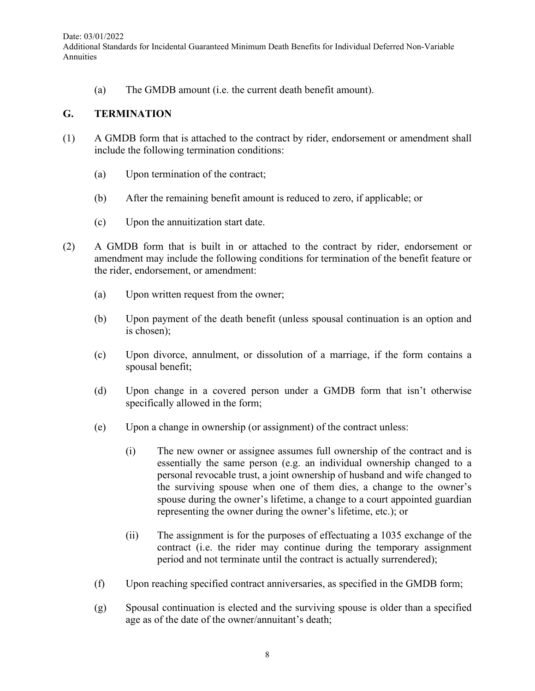(a) The GMDB amount (i.e. the current death benefit amount).

#### **G. TERMINATION**

- (1) A GMDB form that is attached to the contract by rider, endorsement or amendment shall include the following termination conditions:
	- (a) Upon termination of the contract;
	- (b) After the remaining benefit amount is reduced to zero, if applicable; or
	- (c) Upon the annuitization start date.
- (2) A GMDB form that is built in or attached to the contract by rider, endorsement or amendment may include the following conditions for termination of the benefit feature or the rider, endorsement, or amendment:
	- (a) Upon written request from the owner;
	- (b) Upon payment of the death benefit (unless spousal continuation is an option and is chosen);
	- (c) Upon divorce, annulment, or dissolution of a marriage, if the form contains a spousal benefit;
	- (d) Upon change in a covered person under a GMDB form that isn't otherwise specifically allowed in the form;
	- (e) Upon a change in ownership (or assignment) of the contract unless:
		- (i) The new owner or assignee assumes full ownership of the contract and is essentially the same person (e.g. an individual ownership changed to a personal revocable trust, a joint ownership of husband and wife changed to the surviving spouse when one of them dies, a change to the owner's spouse during the owner's lifetime, a change to a court appointed guardian representing the owner during the owner's lifetime, etc.); or
		- (ii) The assignment is for the purposes of effectuating a 1035 exchange of the contract (i.e. the rider may continue during the temporary assignment period and not terminate until the contract is actually surrendered);
	- (f) Upon reaching specified contract anniversaries, as specified in the GMDB form;
	- (g) Spousal continuation is elected and the surviving spouse is older than a specified age as of the date of the owner/annuitant's death;